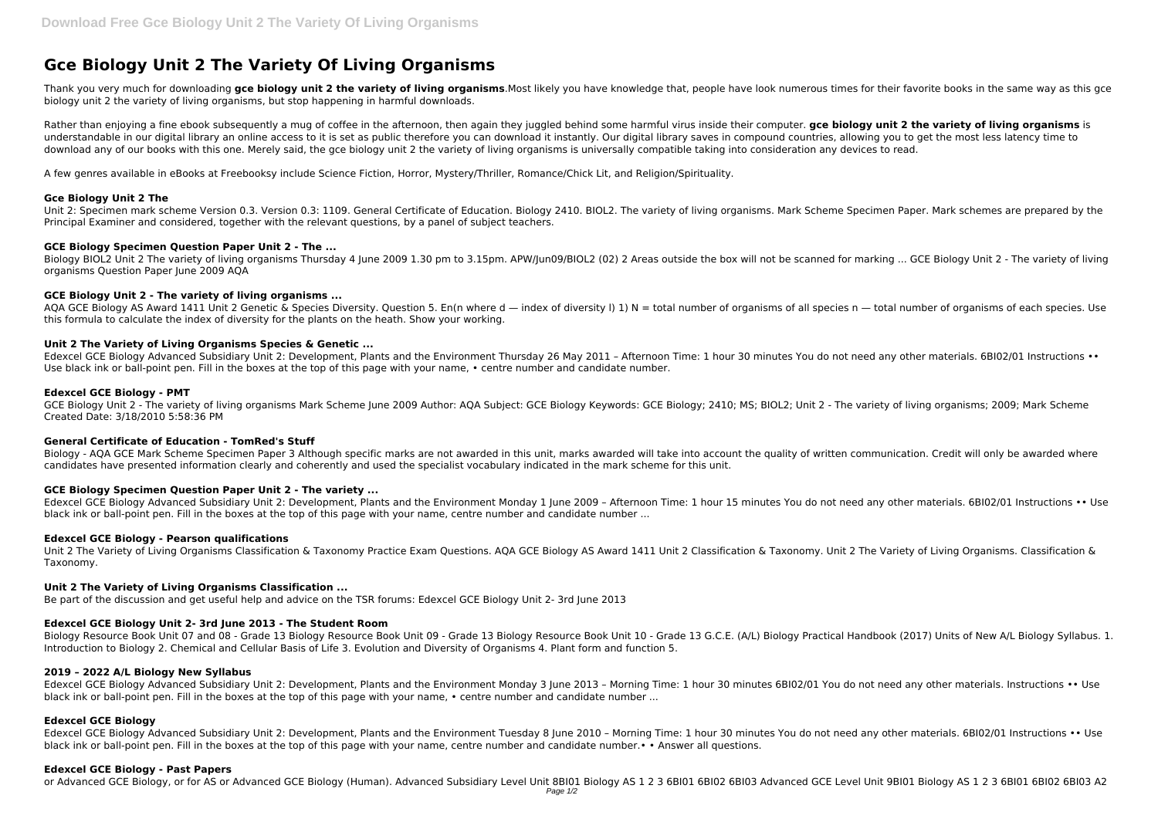# **Gce Biology Unit 2 The Variety Of Living Organisms**

Thank you very much for downloading **gce biology unit 2 the variety of living organisms**.Most likely you have knowledge that, people have look numerous times for their favorite books in the same way as this gce biology unit 2 the variety of living organisms, but stop happening in harmful downloads.

Rather than enjoying a fine ebook subsequently a mug of coffee in the afternoon, then again they juggled behind some harmful virus inside their computer. **gce biology unit 2 the variety of living organisms** is understandable in our digital library an online access to it is set as public therefore you can download it instantly. Our digital library saves in compound countries, allowing you to get the most less latency time to download any of our books with this one. Merely said, the gce biology unit 2 the variety of living organisms is universally compatible taking into consideration any devices to read.

AQA GCE Biology AS Award 1411 Unit 2 Genetic & Species Diversity. Question 5. En(n where d — index of diversity I) 1) N = total number of organisms of all species n — total number of organisms of each species. Use this formula to calculate the index of diversity for the plants on the heath. Show your working.

A few genres available in eBooks at Freebooksy include Science Fiction, Horror, Mystery/Thriller, Romance/Chick Lit, and Religion/Spirituality.

## **Gce Biology Unit 2 The**

Edexcel GCE Biology Advanced Subsidiary Unit 2: Development, Plants and the Environment Thursday 26 May 2011 - Afternoon Time: 1 hour 30 minutes You do not need any other materials. 6BI02/01 Instructions •• Use black ink or ball-point pen. Fill in the boxes at the top of this page with your name, • centre number and candidate number.

Unit 2: Specimen mark scheme Version 0.3. Version 0.3: 1109. General Certificate of Education. Biology 2410. BIOL2. The variety of living organisms. Mark Scheme Specimen Paper. Mark schemes are prepared by the Principal Examiner and considered, together with the relevant questions, by a panel of subject teachers.

## **GCE Biology Specimen Question Paper Unit 2 - The ...**

Biology - AOA GCE Mark Scheme Specimen Paper 3 Although specific marks are not awarded in this unit, marks awarded will take into account the quality of written communication. Credit will only be awarded where candidates have presented information clearly and coherently and used the specialist vocabulary indicated in the mark scheme for this unit.

Biology BIOL2 Unit 2 The variety of living organisms Thursday 4 June 2009 1.30 pm to 3.15pm. APW/Jun09/BIOL2 (02) 2 Areas outside the box will not be scanned for marking ... GCE Biology Unit 2 - The variety of living organisms Question Paper June 2009 AQA

Edexcel GCE Biology Advanced Subsidiary Unit 2: Development, Plants and the Environment Monday 1 June 2009 - Afternoon Time: 1 hour 15 minutes You do not need any other materials. 6BI02/01 Instructions •• Use black ink or ball-point pen. Fill in the boxes at the top of this page with your name, centre number and candidate number ...

## **GCE Biology Unit 2 - The variety of living organisms ...**

Unit 2 The Variety of Living Organisms Classification & Taxonomy Practice Exam Questions. AQA GCE Biology AS Award 1411 Unit 2 Classification & Taxonomy. Unit 2 The Variety of Living Organisms. Classification & Taxonomy.

## **Unit 2 The Variety of Living Organisms Species & Genetic ...**

Edexcel GCE Biology Advanced Subsidiary Unit 2: Development, Plants and the Environment Monday 3 June 2013 - Morning Time: 1 hour 30 minutes 6BI02/01 You do not need any other materials. Instructions •• Use black ink or ball-point pen. Fill in the boxes at the top of this page with your name, • centre number and candidate number ...

## **Edexcel GCE Biology - PMT**

Edexcel GCE Biology Advanced Subsidiary Unit 2: Development, Plants and the Environment Tuesday 8 June 2010 - Morning Time: 1 hour 30 minutes You do not need any other materials. 6BI02/01 Instructions •• Use black ink or ball-point pen. Fill in the boxes at the top of this page with your name, centre number and candidate number.• • Answer all questions.

GCE Biology Unit 2 - The variety of living organisms Mark Scheme June 2009 Author: AQA Subject: GCE Biology Keywords: GCE Biology; 2410; MS; BIOL2; Unit 2 - The variety of living organisms; 2009; Mark Scheme Created Date: 3/18/2010 5:58:36 PM

#### **General Certificate of Education - TomRed's Stuff**

## **GCE Biology Specimen Question Paper Unit 2 - The variety ...**

## **Edexcel GCE Biology - Pearson qualifications**

## **Unit 2 The Variety of Living Organisms Classification ...**

Be part of the discussion and get useful help and advice on the TSR forums: Edexcel GCE Biology Unit 2- 3rd June 2013

## **Edexcel GCE Biology Unit 2- 3rd June 2013 - The Student Room**

Biology Resource Book Unit 07 and 08 - Grade 13 Biology Resource Book Unit 09 - Grade 13 Biology Resource Book Unit 10 - Grade 13 G.C.E. (A/L) Biology Practical Handbook (2017) Units of New A/L Biology Syllabus. 1. Introduction to Biology 2. Chemical and Cellular Basis of Life 3. Evolution and Diversity of Organisms 4. Plant form and function 5.

#### **2019 – 2022 A/L Biology New Syllabus**

#### **Edexcel GCE Biology**

#### **Edexcel GCE Biology - Past Papers**

or Advanced GCE Biology, or for AS or Advanced GCE Biology (Human). Advanced Subsidiary Level Unit 8BI01 Biology AS 1 2 3 6BI01 6BI02 6BI03 Advanced GCE Level Unit 9BI01 Biology AS 1 2 3 6BI01 6BI02 6BI03 A2